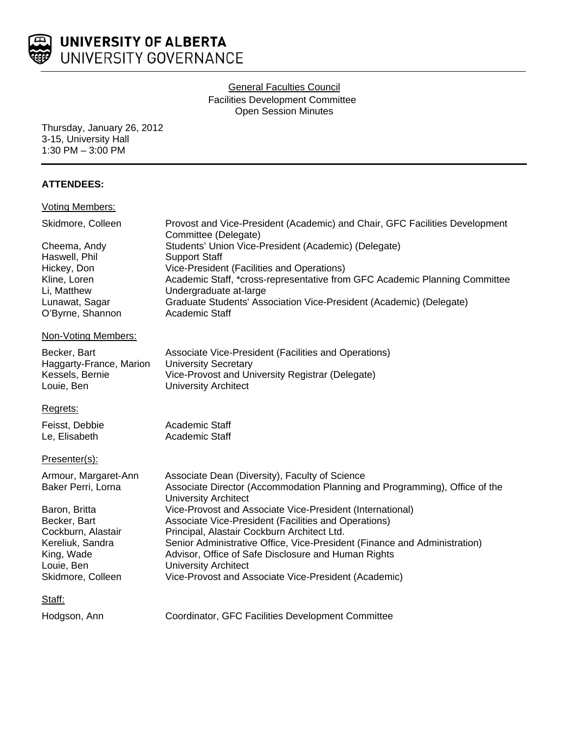

# General Faculties Council Facilities Development Committee Open Session Minutes

Thursday, January 26, 2012 3-15, University Hall 1:30 PM – 3:00 PM

# **ATTENDEES:**

| <b>Voting Members:</b>  |                                                                                                           |
|-------------------------|-----------------------------------------------------------------------------------------------------------|
| Skidmore, Colleen       | Provost and Vice-President (Academic) and Chair, GFC Facilities Development<br>Committee (Delegate)       |
| Cheema, Andy            | Students' Union Vice-President (Academic) (Delegate)                                                      |
| Haswell, Phil           | <b>Support Staff</b>                                                                                      |
| Hickey, Don             | Vice-President (Facilities and Operations)                                                                |
| Kline, Loren            | Academic Staff, *cross-representative from GFC Academic Planning Committee                                |
| Li, Matthew             | Undergraduate at-large                                                                                    |
| Lunawat, Sagar          | Graduate Students' Association Vice-President (Academic) (Delegate)                                       |
| O'Byrne, Shannon        | Academic Staff                                                                                            |
| Non-Voting Members:     |                                                                                                           |
| Becker, Bart            | Associate Vice-President (Facilities and Operations)                                                      |
| Haggarty-France, Marion | <b>University Secretary</b>                                                                               |
| Kessels, Bernie         | Vice-Provost and University Registrar (Delegate)                                                          |
| Louie, Ben              | <b>University Architect</b>                                                                               |
| Regrets:                |                                                                                                           |
| Feisst, Debbie          | Academic Staff                                                                                            |
| Le, Elisabeth           | Academic Staff                                                                                            |
| Presenter(s):           |                                                                                                           |
| Armour, Margaret-Ann    | Associate Dean (Diversity), Faculty of Science                                                            |
| Baker Perri, Lorna      | Associate Director (Accommodation Planning and Programming), Office of the<br><b>University Architect</b> |
| Baron, Britta           | Vice-Provost and Associate Vice-President (International)                                                 |
| Becker, Bart            | Associate Vice-President (Facilities and Operations)                                                      |
| Cockburn, Alastair      | Principal, Alastair Cockburn Architect Ltd.                                                               |
| Kereliuk, Sandra        | Senior Administrative Office, Vice-President (Finance and Administration)                                 |
| King, Wade              | Advisor, Office of Safe Disclosure and Human Rights                                                       |
| Louie, Ben              | <b>University Architect</b>                                                                               |
| Skidmore, Colleen       | Vice-Provost and Associate Vice-President (Academic)                                                      |
| Staff:                  |                                                                                                           |
| Hodgson, Ann            | Coordinator, GFC Facilities Development Committee                                                         |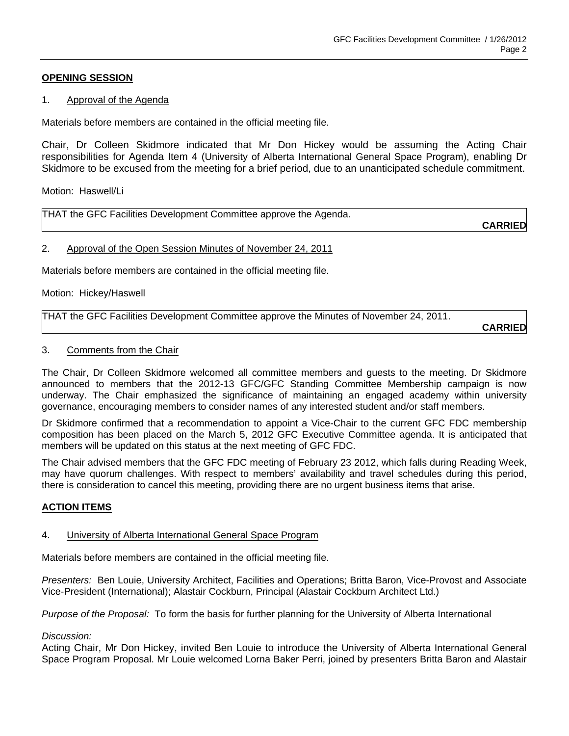## **OPENING SESSION**

## 1. Approval of the Agenda

Materials before members are contained in the official meeting file.

Chair, Dr Colleen Skidmore indicated that Mr Don Hickey would be assuming the Acting Chair responsibilities for Agenda Item 4 (University of Alberta International General Space Program), enabling Dr Skidmore to be excused from the meeting for a brief period, due to an unanticipated schedule commitment.

Motion: Haswell/Li

THAT the GFC Facilities Development Committee approve the Agenda.

**CARRIED**

## 2. Approval of the Open Session Minutes of November 24, 2011

Materials before members are contained in the official meeting file.

Motion: Hickey/Haswell

THAT the GFC Facilities Development Committee approve the Minutes of November 24, 2011.

**CARRIED**

#### 3. Comments from the Chair

The Chair, Dr Colleen Skidmore welcomed all committee members and guests to the meeting. Dr Skidmore announced to members that the 2012-13 GFC/GFC Standing Committee Membership campaign is now underway. The Chair emphasized the significance of maintaining an engaged academy within university governance, encouraging members to consider names of any interested student and/or staff members.

Dr Skidmore confirmed that a recommendation to appoint a Vice-Chair to the current GFC FDC membership composition has been placed on the March 5, 2012 GFC Executive Committee agenda. It is anticipated that members will be updated on this status at the next meeting of GFC FDC.

The Chair advised members that the GFC FDC meeting of February 23 2012, which falls during Reading Week, may have quorum challenges. With respect to members' availability and travel schedules during this period, there is consideration to cancel this meeting, providing there are no urgent business items that arise.

## **ACTION ITEMS**

## 4. University of Alberta International General Space Program

Materials before members are contained in the official meeting file.

*Presenters:* Ben Louie, University Architect, Facilities and Operations; Britta Baron, Vice-Provost and Associate Vice-President (International); Alastair Cockburn, Principal (Alastair Cockburn Architect Ltd.)

*Purpose of the Proposal:* To form the basis for further planning for the University of Alberta International

## *Discussion:*

Acting Chair, Mr Don Hickey, invited Ben Louie to introduce the University of Alberta International General Space Program Proposal. Mr Louie welcomed Lorna Baker Perri, joined by presenters Britta Baron and Alastair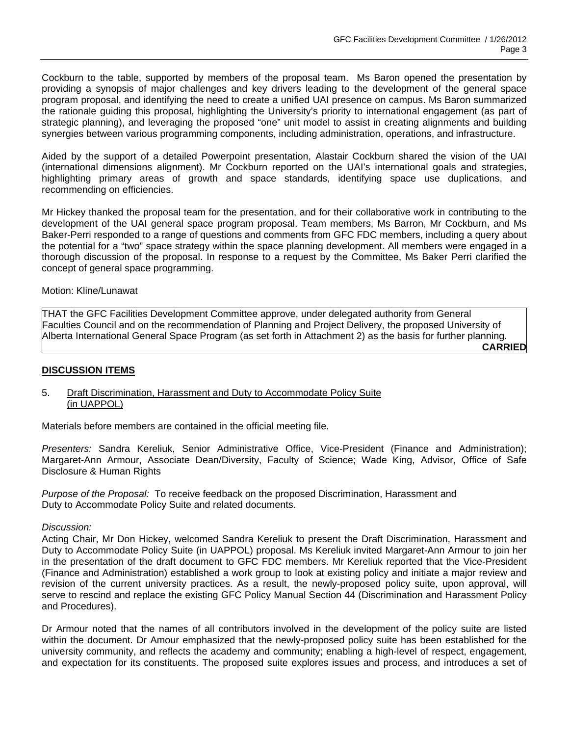Cockburn to the table, supported by members of the proposal team. Ms Baron opened the presentation by providing a synopsis of major challenges and key drivers leading to the development of the general space program proposal, and identifying the need to create a unified UAI presence on campus. Ms Baron summarized the rationale guiding this proposal, highlighting the University's priority to international engagement (as part of strategic planning), and leveraging the proposed "one" unit model to assist in creating alignments and building synergies between various programming components, including administration, operations, and infrastructure.

Aided by the support of a detailed Powerpoint presentation, Alastair Cockburn shared the vision of the UAI (international dimensions alignment). Mr Cockburn reported on the UAI's international goals and strategies, highlighting primary areas of growth and space standards, identifying space use duplications, and recommending on efficiencies.

Mr Hickey thanked the proposal team for the presentation, and for their collaborative work in contributing to the development of the UAI general space program proposal. Team members, Ms Barron, Mr Cockburn, and Ms Baker-Perri responded to a range of questions and comments from GFC FDC members, including a query about the potential for a "two" space strategy within the space planning development. All members were engaged in a thorough discussion of the proposal. In response to a request by the Committee, Ms Baker Perri clarified the concept of general space programming.

Motion: Kline/Lunawat

THAT the GFC Facilities Development Committee approve, under delegated authority from General Faculties Council and on the recommendation of Planning and Project Delivery, the proposed University of Alberta International General Space Program (as set forth in Attachment 2) as the basis for further planning. **CARRIED**

## **DISCUSSION ITEMS**

#### 5. Draft Discrimination, Harassment and Duty to Accommodate Policy Suite (in UAPPOL)

Materials before members are contained in the official meeting file.

*Presenters:* Sandra Kereliuk, Senior Administrative Office, Vice-President (Finance and Administration); Margaret-Ann Armour, Associate Dean/Diversity, Faculty of Science; Wade King, Advisor, Office of Safe Disclosure & Human Rights

*Purpose of the Proposal:* To receive feedback on the proposed Discrimination, Harassment and Duty to Accommodate Policy Suite and related documents.

*Discussion:* 

Acting Chair, Mr Don Hickey, welcomed Sandra Kereliuk to present the Draft Discrimination, Harassment and Duty to Accommodate Policy Suite (in UAPPOL) proposal. Ms Kereliuk invited Margaret-Ann Armour to join her in the presentation of the draft document to GFC FDC members. Mr Kereliuk reported that the Vice-President (Finance and Administration) established a work group to look at existing policy and initiate a major review and revision of the current university practices. As a result, the newly-proposed policy suite, upon approval, will serve to rescind and replace the existing GFC Policy Manual Section 44 (Discrimination and Harassment Policy and Procedures).

Dr Armour noted that the names of all contributors involved in the development of the policy suite are listed within the document. Dr Amour emphasized that the newly-proposed policy suite has been established for the university community, and reflects the academy and community; enabling a high-level of respect, engagement, and expectation for its constituents. The proposed suite explores issues and process, and introduces a set of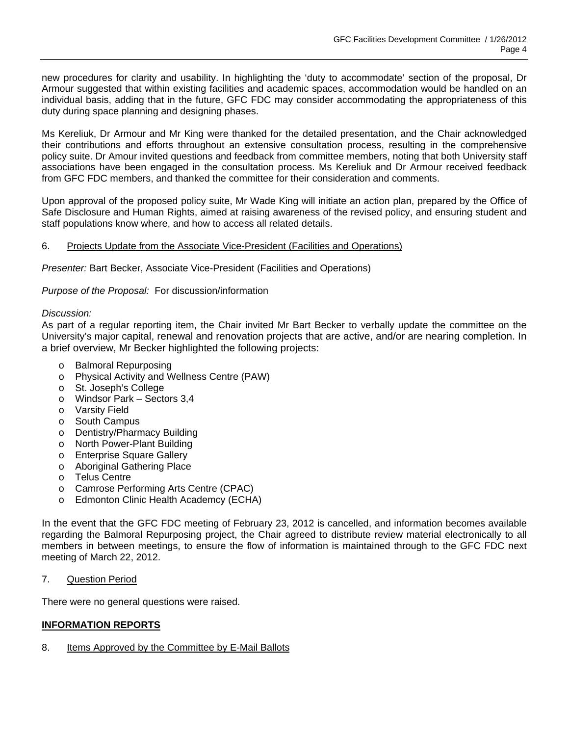new procedures for clarity and usability. In highlighting the 'duty to accommodate' section of the proposal, Dr Armour suggested that within existing facilities and academic spaces, accommodation would be handled on an individual basis, adding that in the future, GFC FDC may consider accommodating the appropriateness of this duty during space planning and designing phases.

Ms Kereliuk, Dr Armour and Mr King were thanked for the detailed presentation, and the Chair acknowledged their contributions and efforts throughout an extensive consultation process, resulting in the comprehensive policy suite. Dr Amour invited questions and feedback from committee members, noting that both University staff associations have been engaged in the consultation process. Ms Kereliuk and Dr Armour received feedback from GFC FDC members, and thanked the committee for their consideration and comments.

Upon approval of the proposed policy suite, Mr Wade King will initiate an action plan, prepared by the Office of Safe Disclosure and Human Rights, aimed at raising awareness of the revised policy, and ensuring student and staff populations know where, and how to access all related details.

## 6. Projects Update from the Associate Vice-President (Facilities and Operations)

*Presenter:* Bart Becker, Associate Vice-President (Facilities and Operations)

*Purpose of the Proposal:* For discussion/information

#### *Discussion:*

As part of a regular reporting item, the Chair invited Mr Bart Becker to verbally update the committee on the University's major capital, renewal and renovation projects that are active, and/or are nearing completion. In a brief overview, Mr Becker highlighted the following projects:

- o Balmoral Repurposing
- o Physical Activity and Wellness Centre (PAW)
- o St. Joseph's College
- o Windsor Park Sectors 3,4
- o Varsity Field
- o South Campus
- o Dentistry/Pharmacy Building
- o North Power-Plant Building
- o Enterprise Square Gallery
- o Aboriginal Gathering Place
- o Telus Centre
- o Camrose Performing Arts Centre (CPAC)
- o Edmonton Clinic Health Academcy (ECHA)

In the event that the GFC FDC meeting of February 23, 2012 is cancelled, and information becomes available regarding the Balmoral Repurposing project, the Chair agreed to distribute review material electronically to all members in between meetings, to ensure the flow of information is maintained through to the GFC FDC next meeting of March 22, 2012.

7. Question Period

There were no general questions were raised.

# **INFORMATION REPORTS**

8. Items Approved by the Committee by E-Mail Ballots